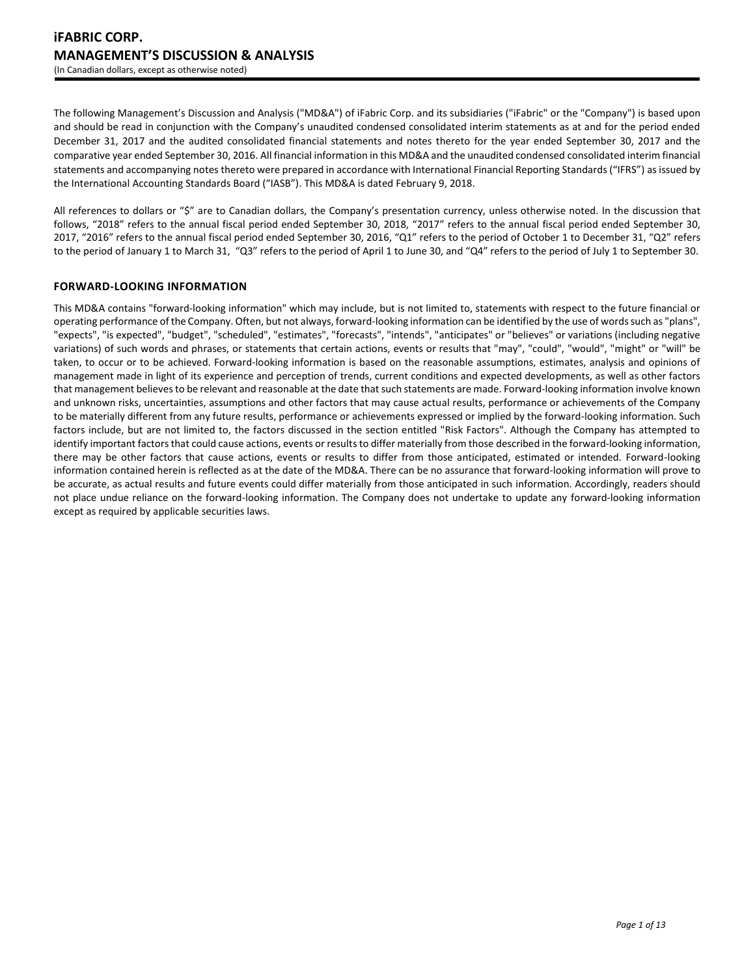The following Management's Discussion and Analysis ("MD&A") of iFabric Corp. and its subsidiaries ("iFabric" or the "Company") is based upon and should be read in conjunction with the Company's unaudited condensed consolidated interim statements as at and for the period ended December 31, 2017 and the audited consolidated financial statements and notes thereto for the year ended September 30, 2017 and the comparative year ended September 30, 2016. All financial information in this MD&A and the unaudited condensed consolidated interim financial statements and accompanying notes thereto were prepared in accordance with International Financial Reporting Standards ("IFRS") as issued by the International Accounting Standards Board ("IASB"). This MD&A is dated February 9, 2018.

All references to dollars or "\$" are to Canadian dollars, the Company's presentation currency, unless otherwise noted. In the discussion that follows, "2018" refers to the annual fiscal period ended September 30, 2018, "2017" refers to the annual fiscal period ended September 30, 2017, "2016" refers to the annual fiscal period ended September 30, 2016, "Q1" refers to the period of October 1 to December 31, "Q2" refers to the period of January 1 to March 31, "Q3" refers to the period of April 1 to June 30, and "Q4" refers to the period of July 1 to September 30.

# **FORWARD-LOOKING INFORMATION**

This MD&A contains "forward-looking information" which may include, but is not limited to, statements with respect to the future financial or operating performance of the Company. Often, but not always, forward-looking information can be identified by the use of words such as "plans", "expects", "is expected", "budget", "scheduled", "estimates", "forecasts", "intends", "anticipates" or "believes" or variations (including negative variations) of such words and phrases, or statements that certain actions, events or results that "may", "could", "would", "might" or "will" be taken, to occur or to be achieved. Forward-looking information is based on the reasonable assumptions, estimates, analysis and opinions of management made in light of its experience and perception of trends, current conditions and expected developments, as well as other factors that management believes to be relevant and reasonable at the date that such statements are made. Forward-looking information involve known and unknown risks, uncertainties, assumptions and other factors that may cause actual results, performance or achievements of the Company to be materially different from any future results, performance or achievements expressed or implied by the forward-looking information. Such factors include, but are not limited to, the factors discussed in the section entitled "Risk Factors". Although the Company has attempted to identify important factors that could cause actions, events or results to differ materially from those described in the forward-looking information, there may be other factors that cause actions, events or results to differ from those anticipated, estimated or intended. Forward-looking information contained herein is reflected as at the date of the MD&A. There can be no assurance that forward-looking information will prove to be accurate, as actual results and future events could differ materially from those anticipated in such information. Accordingly, readers should not place undue reliance on the forward-looking information. The Company does not undertake to update any forward-looking information except as required by applicable securities laws.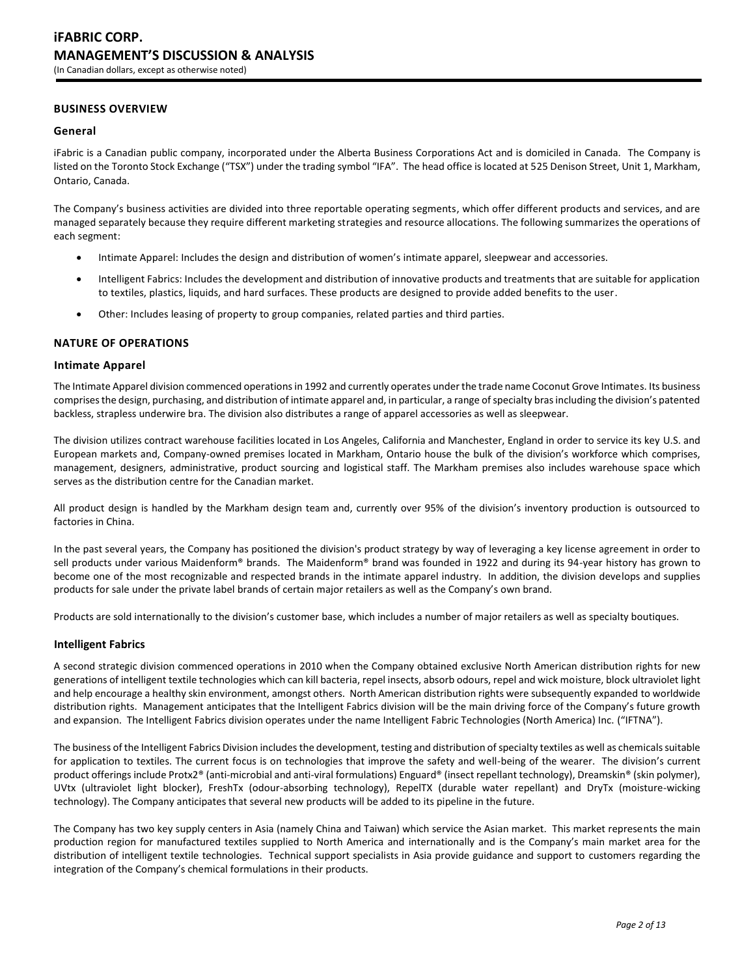# **BUSINESS OVERVIEW**

### **General**

iFabric is a Canadian public company, incorporated under the Alberta Business Corporations Act and is domiciled in Canada. The Company is listed on the Toronto Stock Exchange ("TSX") under the trading symbol "IFA". The head office is located at 525 Denison Street, Unit 1, Markham, Ontario, Canada.

The Company's business activities are divided into three reportable operating segments, which offer different products and services, and are managed separately because they require different marketing strategies and resource allocations. The following summarizes the operations of each segment:

- Intimate Apparel: Includes the design and distribution of women's intimate apparel, sleepwear and accessories.
- Intelligent Fabrics: Includes the development and distribution of innovative products and treatments that are suitable for application to textiles, plastics, liquids, and hard surfaces. These products are designed to provide added benefits to the user.
- Other: Includes leasing of property to group companies, related parties and third parties.

### **NATURE OF OPERATIONS**

### **Intimate Apparel**

The Intimate Apparel division commenced operations in 1992 and currently operates under the trade name Coconut Grove Intimates. Its business comprises the design, purchasing, and distribution of intimate apparel and, in particular, a range of specialty bras including the division's patented backless, strapless underwire bra. The division also distributes a range of apparel accessories as well as sleepwear.

The division utilizes contract warehouse facilities located in Los Angeles, California and Manchester, England in order to service its key U.S. and European markets and, Company-owned premises located in Markham, Ontario house the bulk of the division's workforce which comprises, management, designers, administrative, product sourcing and logistical staff. The Markham premises also includes warehouse space which serves as the distribution centre for the Canadian market.

All product design is handled by the Markham design team and, currently over 95% of the division's inventory production is outsourced to factories in China.

In the past several years, the Company has positioned the division's product strategy by way of leveraging a key license agreement in order to sell products under various Maidenform® brands. The Maidenform® brand was founded in 1922 and during its 94-year history has grown to become one of the most recognizable and respected brands in the intimate apparel industry. In addition, the division develops and supplies products for sale under the private label brands of certain major retailers as well as the Company's own brand.

Products are sold internationally to the division's customer base, which includes a number of major retailers as well as specialty boutiques.

### **Intelligent Fabrics**

A second strategic division commenced operations in 2010 when the Company obtained exclusive North American distribution rights for new generations of intelligent textile technologies which can kill bacteria, repel insects, absorb odours, repel and wick moisture, block ultraviolet light and help encourage a healthy skin environment, amongst others. North American distribution rights were subsequently expanded to worldwide distribution rights. Management anticipates that the Intelligent Fabrics division will be the main driving force of the Company's future growth and expansion. The Intelligent Fabrics division operates under the name Intelligent Fabric Technologies (North America) Inc. ("IFTNA").

The business of the Intelligent Fabrics Division includes the development, testing and distribution of specialty textiles as well as chemicals suitable for application to textiles. The current focus is on technologies that improve the safety and well-being of the wearer. The division's current product offerings include Protx2® (anti-microbial and anti-viral formulations) Enguard® (insect repellant technology), Dreamskin® (skin polymer), UVtx (ultraviolet light blocker), FreshTx (odour-absorbing technology), RepelTX (durable water repellant) and DryTx (moisture-wicking technology). The Company anticipates that several new products will be added to its pipeline in the future.

The Company has two key supply centers in Asia (namely China and Taiwan) which service the Asian market. This market represents the main production region for manufactured textiles supplied to North America and internationally and is the Company's main market area for the distribution of intelligent textile technologies. Technical support specialists in Asia provide guidance and support to customers regarding the integration of the Company's chemical formulations in their products.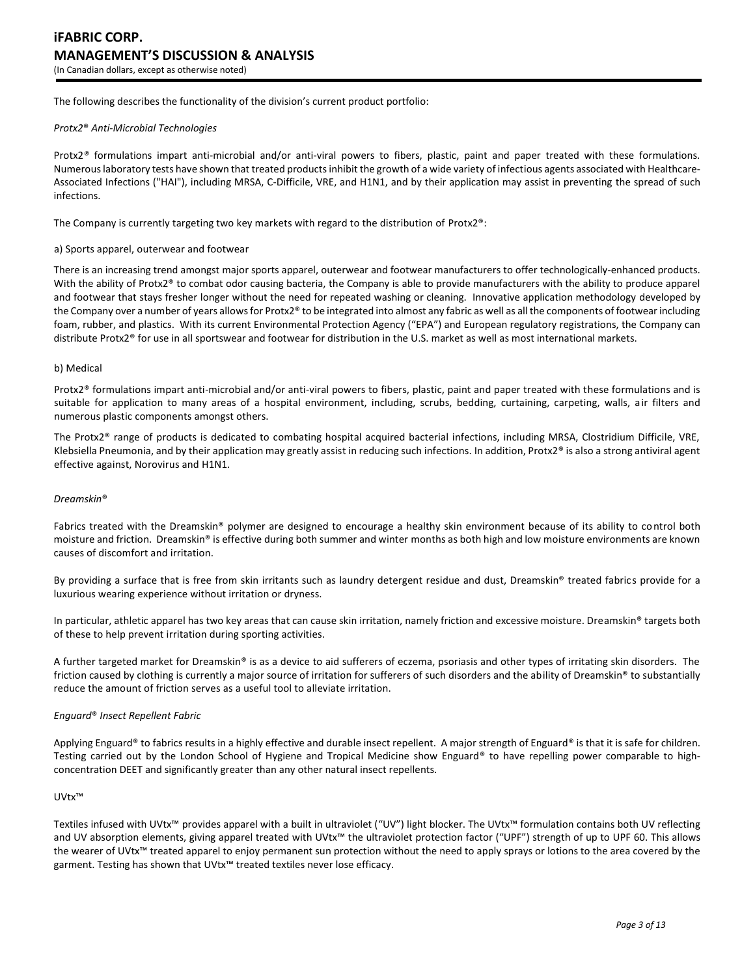The following describes the functionality of the division's current product portfolio:

#### *Protx2*® *Anti-Microbial Technologies*

Protx2*®* formulations impart anti-microbial and/or anti-viral powers to fibers, plastic, paint and paper treated with these formulations. Numerous laboratory tests have shown that treated products inhibit the growth of a wide variety of infectious agents associated with Healthcare-Associated Infections ("HAI"), including MRSA, C-Difficile, VRE, and H1N1, and by their application may assist in preventing the spread of such infections.

The Company is currently targeting two key markets with regard to the distribution of Protx2®:

#### a) Sports apparel, outerwear and footwear

There is an increasing trend amongst major sports apparel, outerwear and footwear manufacturers to offer technologically-enhanced products. With the ability of Protx2<sup>®</sup> to combat odor causing bacteria, the Company is able to provide manufacturers with the ability to produce apparel and footwear that stays fresher longer without the need for repeated washing or cleaning. Innovative application methodology developed by the Company over a number of years allows for Protx2® to be integrated into almost any fabric as well as all the components of footwear including foam, rubber, and plastics. With its current Environmental Protection Agency ("EPA") and European regulatory registrations, the Company can distribute Protx2® for use in all sportswear and footwear for distribution in the U.S. market as well as most international markets.

#### b) Medical

Protx2® formulations impart anti-microbial and/or anti-viral powers to fibers, plastic, paint and paper treated with these formulations and is suitable for application to many areas of a hospital environment, including, scrubs, bedding, curtaining, carpeting, walls, air filters and numerous plastic components amongst others.

The Protx2® range of products is dedicated to combating hospital acquired bacterial infections, including MRSA, Clostridium Difficile, VRE, Klebsiella Pneumonia, and by their application may greatly assist in reducing such infections. In addition, Protx $2<sup>®</sup>$  is also a strong antiviral agent effective against, Norovirus and H1N1.

#### *Dreamskin*®

Fabrics treated with the Dreamskin® polymer are designed to encourage a healthy skin environment because of its ability to control both moisture and friction. Dreamskin® is effective during both summer and winter months as both high and low moisture environments are known causes of discomfort and irritation.

By providing a surface that is free from skin irritants such as laundry detergent residue and dust, Dreamskin® treated fabrics provide for a luxurious wearing experience without irritation or dryness.

In particular, athletic apparel has two key areas that can cause skin irritation, namely friction and excessive moisture. Dreamskin® targets both of these to help prevent irritation during sporting activities.

A further targeted market for Dreamskin® is as a device to aid sufferers of eczema, psoriasis and other types of irritating skin disorders. The friction caused by clothing is currently a major source of irritation for sufferers of such disorders and the ability of Dreamskin® to substantially reduce the amount of friction serves as a useful tool to alleviate irritation.

### *Enguard*® *Insect Repellent Fabric*

Applying Enguard® to fabrics results in a highly effective and durable insect repellent. A major strength of Enguard® is that it is safe for children. Testing carried out by the London School of Hygiene and Tropical Medicine show Enguard® to have repelling power comparable to highconcentration DEET and significantly greater than any other natural insect repellents.

#### UVtx™

Textiles infused with UVtx™ provides apparel with a built in ultraviolet ("UV") light blocker. The UVtx™ formulation contains both UV reflecting and UV absorption elements, giving apparel treated with UVtx™ the ultraviolet protection factor ("UPF") strength of up to UPF 60. This allows the wearer of UVtx™ treated apparel to enjoy permanent sun protection without the need to apply sprays or lotions to the area covered by the garment. Testing has shown that UVtx<sup>™</sup> treated textiles never lose efficacy.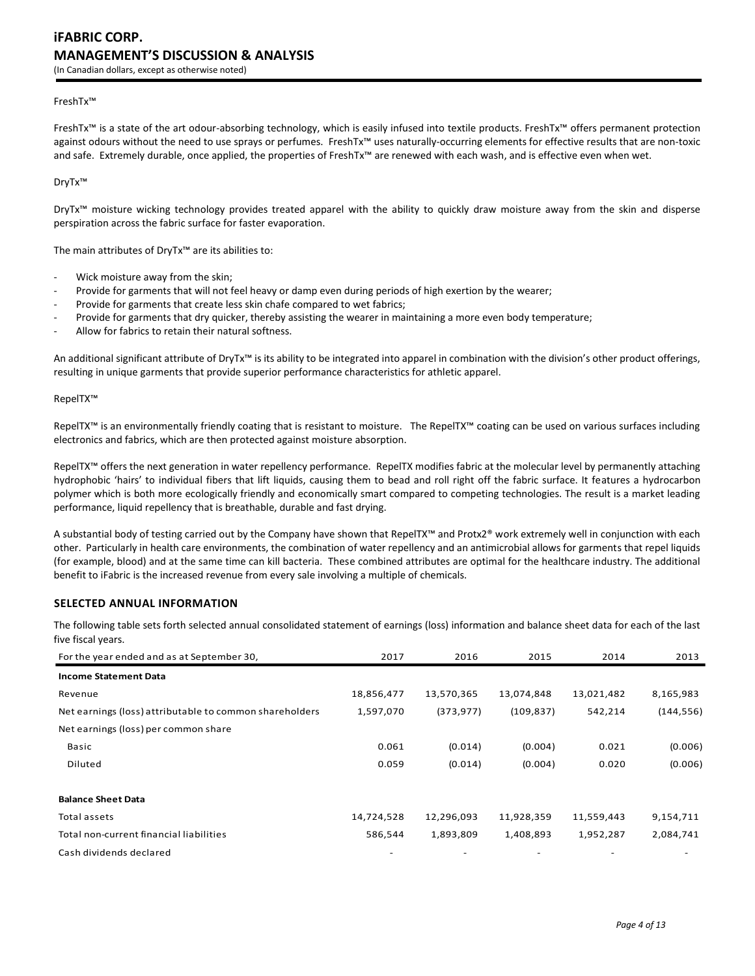#### FreshTx™

FreshTx™ is a state of the art odour-absorbing technology, which is easily infused into textile products. FreshTx™ offers permanent protection against odours without the need to use sprays or perfumes. FreshTx™ uses naturally-occurring elements for effective results that are non-toxic and safe. Extremely durable, once applied, the properties of FreshTx™ are renewed with each wash, and is effective even when wet.

DryTx™

DryTx™ moisture wicking technology provides treated apparel with the ability to quickly draw moisture away from the skin and disperse perspiration across the fabric surface for faster evaporation.

The main attributes of DryTx™ are its abilities to:

- Wick moisture away from the skin;
- Provide for garments that will not feel heavy or damp even during periods of high exertion by the wearer;
- Provide for garments that create less skin chafe compared to wet fabrics;
- Provide for garments that dry quicker, thereby assisting the wearer in maintaining a more even body temperature;
- Allow for fabrics to retain their natural softness.

An additional significant attribute of DryTx<sup>™</sup> is its ability to be integrated into apparel in combination with the division's other product offerings, resulting in unique garments that provide superior performance characteristics for athletic apparel.

#### RepelTX™

RepelTX™ is an environmentally friendly coating that is resistant to moisture. The RepelTX™ coating can be used on various surfaces including electronics and fabrics, which are then protected against moisture absorption.

RepelTX™ offers the next generation in water repellency performance. RepelTX modifies fabric at the molecular level by permanently attaching hydrophobic 'hairs' to individual fibers that lift liquids, causing them to bead and roll right off the fabric surface. It features a hydrocarbon polymer which is both more ecologically friendly and economically smart compared to competing technologies. The result is a market leading performance, liquid repellency that is breathable, durable and fast drying.

A substantial body of testing carried out by the Company have shown that RepelTX™ and Protx2® work extremely well in conjunction with each other. Particularly in health care environments, the combination of water repellency and an antimicrobial allows for garments that repel liquids (for example, blood) and at the same time can kill bacteria. These combined attributes are optimal for the healthcare industry. The additional benefit to iFabric is the increased revenue from every sale involving a multiple of chemicals.

# **SELECTED ANNUAL INFORMATION**

The following table sets forth selected annual consolidated statement of earnings (loss) information and balance sheet data for each of the last five fiscal years.

| For the year ended and as at September 30,              | 2017       | 2016       | 2015       | 2014       | 2013       |
|---------------------------------------------------------|------------|------------|------------|------------|------------|
| <b>Income Statement Data</b>                            |            |            |            |            |            |
| Revenue                                                 | 18,856,477 | 13,570,365 | 13,074,848 | 13,021,482 | 8,165,983  |
| Net earnings (loss) attributable to common shareholders | 1,597,070  | (373, 977) | (109, 837) | 542,214    | (144, 556) |
| Net earnings (loss) per common share                    |            |            |            |            |            |
| Basic                                                   | 0.061      | (0.014)    | (0.004)    | 0.021      | (0.006)    |
| Diluted                                                 | 0.059      | (0.014)    | (0.004)    | 0.020      | (0.006)    |
| <b>Balance Sheet Data</b>                               |            |            |            |            |            |
| Total assets                                            | 14,724,528 | 12,296,093 | 11,928,359 | 11,559,443 | 9,154,711  |
| Total non-current financial liabilities                 | 586,544    | 1,893,809  | 1,408,893  | 1,952,287  | 2,084,741  |
| Cash dividends declared                                 |            |            |            |            |            |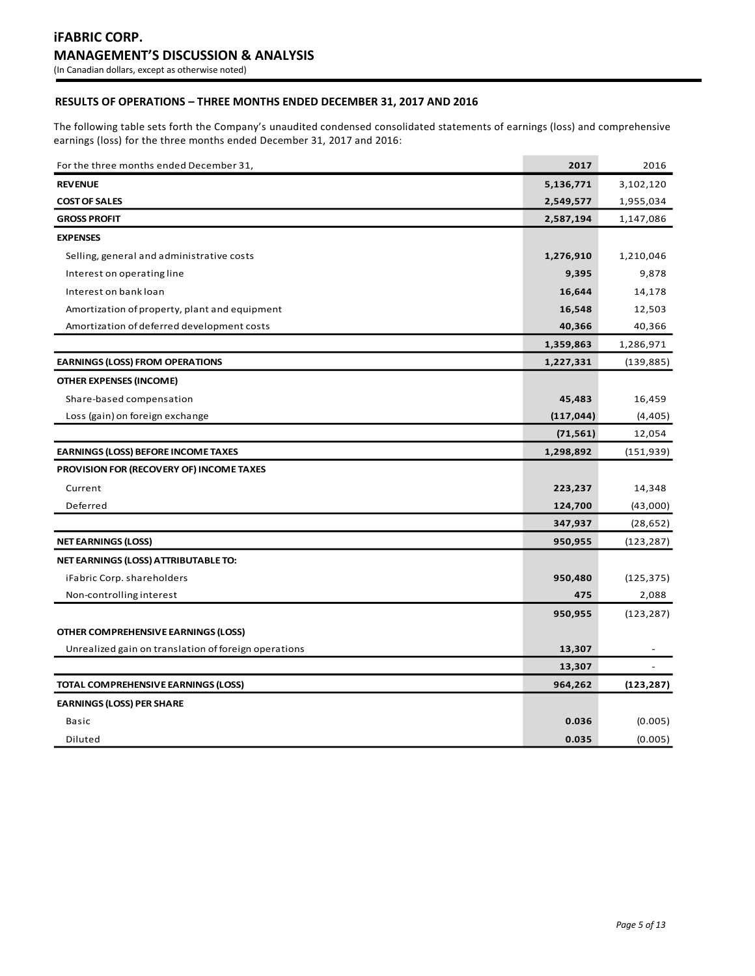# **RESULTS OF OPERATIONS – THREE MONTHS ENDED DECEMBER 31, 2017 AND 2016**

The following table sets forth the Company's unaudited condensed consolidated statements of earnings (loss) and comprehensive earnings (loss) for the three months ended December 31, 2017 and 2016:

| For the three months ended December 31,              | 2017       | 2016       |
|------------------------------------------------------|------------|------------|
| <b>REVENUE</b>                                       | 5,136,771  | 3,102,120  |
| <b>COST OF SALES</b>                                 | 2,549,577  | 1,955,034  |
| <b>GROSS PROFIT</b>                                  | 2,587,194  | 1,147,086  |
| <b>EXPENSES</b>                                      |            |            |
| Selling, general and administrative costs            | 1,276,910  | 1,210,046  |
| Interest on operating line                           | 9,395      | 9,878      |
| Interest on bank loan                                | 16,644     | 14,178     |
| Amortization of property, plant and equipment        | 16,548     | 12,503     |
| Amortization of deferred development costs           | 40,366     | 40,366     |
|                                                      | 1,359,863  | 1,286,971  |
| <b>EARNINGS (LOSS) FROM OPERATIONS</b>               | 1,227,331  | (139, 885) |
| <b>OTHER EXPENSES (INCOME)</b>                       |            |            |
| Share-based compensation                             | 45,483     | 16,459     |
| Loss (gain) on foreign exchange                      | (117, 044) | (4, 405)   |
|                                                      | (71, 561)  | 12,054     |
| <b>EARNINGS (LOSS) BEFORE INCOME TAXES</b>           | 1,298,892  | (151, 939) |
| PROVISION FOR (RECOVERY OF) INCOME TAXES             |            |            |
| Current                                              | 223,237    | 14,348     |
| Deferred                                             | 124,700    | (43,000)   |
|                                                      | 347,937    | (28, 652)  |
| <b>NET EARNINGS (LOSS)</b>                           | 950,955    | (123, 287) |
| NET EARNINGS (LOSS) ATTRIBUTABLE TO:                 |            |            |
| iFabric Corp. shareholders                           | 950,480    | (125, 375) |
| Non-controlling interest                             | 475        | 2,088      |
|                                                      | 950,955    | (123, 287) |
| OTHER COMPREHENSIVE EARNINGS (LOSS)                  |            |            |
| Unrealized gain on translation of foreign operations | 13,307     |            |
|                                                      | 13,307     |            |
| TOTAL COMPREHENSIVE EARNINGS (LOSS)                  | 964,262    | (123, 287) |
| <b>EARNINGS (LOSS) PER SHARE</b>                     |            |            |
| Basic                                                | 0.036      | (0.005)    |
| Diluted                                              | 0.035      | (0.005)    |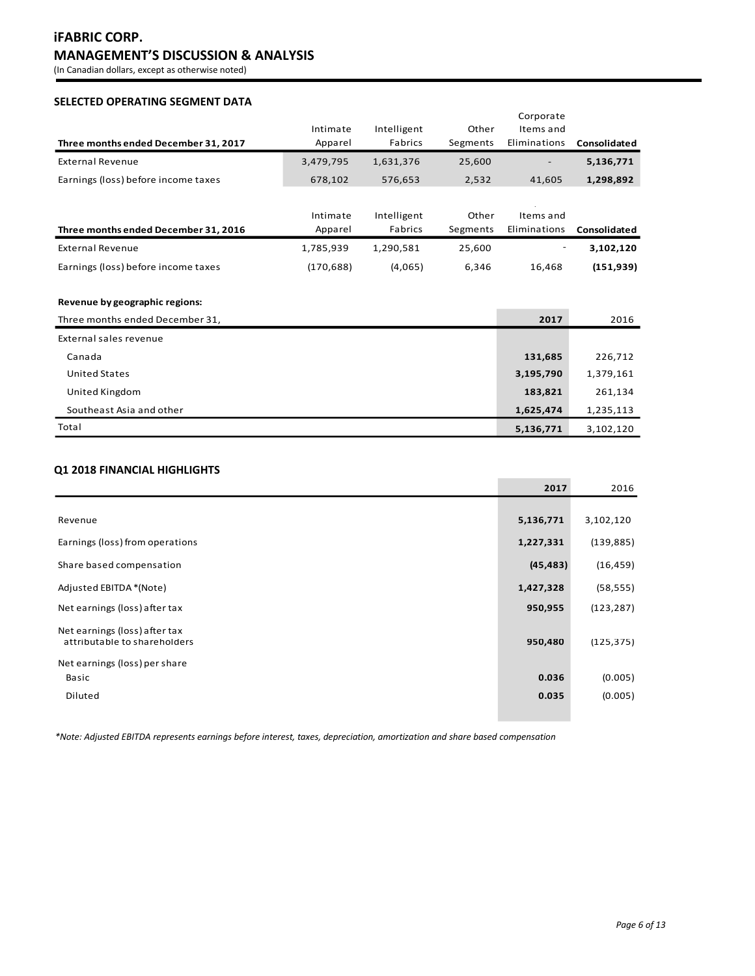# **iFABRIC CORP. MANAGEMENT'S DISCUSSION & ANALYSIS**

(In Canadian dollars, except as otherwise noted)

# **SELECTED OPERATING SEGMENT DATA**

|                                      |            |             |          | Corporate    |              |
|--------------------------------------|------------|-------------|----------|--------------|--------------|
|                                      | Intimate   | Intelligent | Other    | Items and    |              |
| Three months ended December 31, 2017 | Apparel    | Fabrics     | Segments | Eliminations | Consolidated |
| <b>External Revenue</b>              | 3,479,795  | 1,631,376   | 25,600   |              | 5,136,771    |
| Earnings (loss) before income taxes  | 678,102    | 576,653     | 2,532    | 41,605       | 1,298,892    |
|                                      |            |             |          |              |              |
|                                      | Intimate   | Intelligent | Other    | Items and    |              |
| Three months ended December 31, 2016 | Apparel    | Fabrics     | Segments | Eliminations | Consolidated |
| <b>External Revenue</b>              | 1,785,939  | 1,290,581   | 25,600   |              | 3,102,120    |
| Earnings (loss) before income taxes  | (170, 688) | (4,065)     | 6,346    | 16,468       | (151, 939)   |
|                                      |            |             |          |              |              |
| Revenue by geographic regions:       |            |             |          |              |              |
| Three months ended December 31,      |            |             |          | 2017         | 2016         |
| External sales revenue               |            |             |          |              |              |
| Canada                               |            |             |          | 131,685      | 226,712      |
| <b>United States</b>                 |            |             |          | 3,195,790    | 1,379,161    |
| United Kingdom                       |            |             |          | 183,821      | 261,134      |
| Southeast Asia and other             |            |             |          | 1,625,474    | 1,235,113    |
| Total                                |            |             |          | 5,136,771    | 3,102,120    |

# **Q1 2018 FINANCIAL HIGHLIGHTS**

|                                                               | 2017      | 2016       |
|---------------------------------------------------------------|-----------|------------|
|                                                               |           |            |
| Revenue                                                       | 5,136,771 | 3,102,120  |
| Earnings (loss) from operations                               | 1,227,331 | (139, 885) |
| Share based compensation                                      | (45, 483) | (16, 459)  |
| Adjusted EBITDA *(Note)                                       | 1,427,328 | (58, 555)  |
| Net earnings (loss) after tax                                 | 950,955   | (123, 287) |
| Net earnings (loss) after tax<br>attributable to shareholders | 950,480   | (125, 375) |
| Net earnings (loss) per share                                 |           |            |
| Basic                                                         | 0.036     | (0.005)    |
| Diluted                                                       | 0.035     | (0.005)    |
|                                                               |           |            |

*\*Note: Adjusted EBITDA represents earnings before interest, taxes, depreciation, amortization and share based compensation*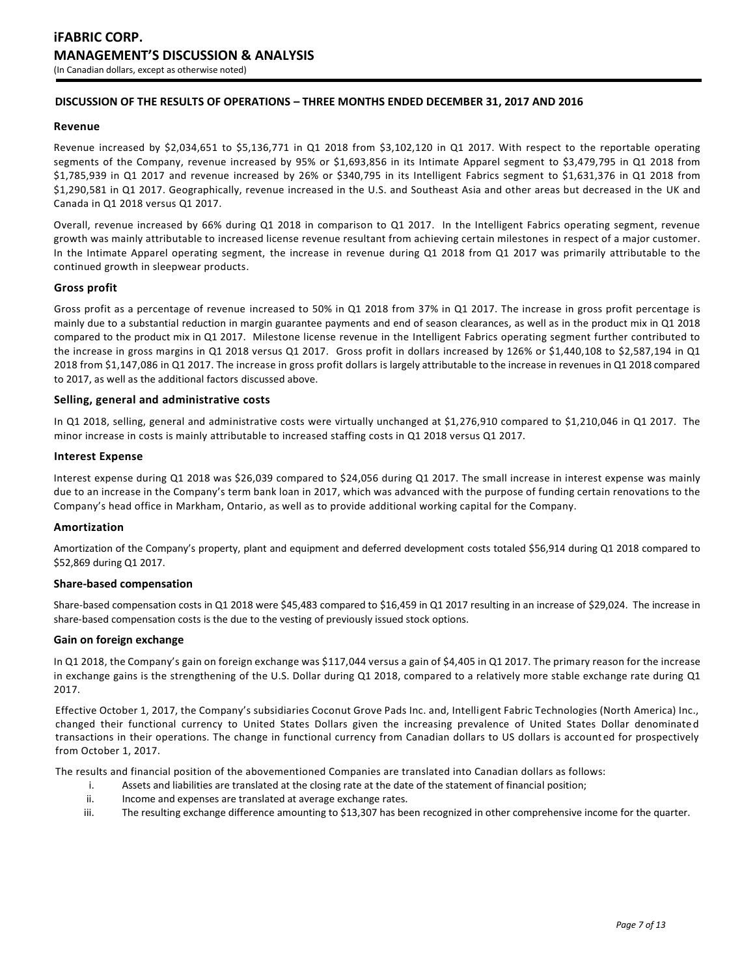# **DISCUSSION OF THE RESULTS OF OPERATIONS – THREE MONTHS ENDED DECEMBER 31, 2017 AND 2016**

### **Revenue**

Revenue increased by \$2,034,651 to \$5,136,771 in Q1 2018 from \$3,102,120 in Q1 2017. With respect to the reportable operating segments of the Company, revenue increased by 95% or \$1,693,856 in its Intimate Apparel segment to \$3,479,795 in Q1 2018 from \$1,785,939 in Q1 2017 and revenue increased by 26% or \$340,795 in its Intelligent Fabrics segment to \$1,631,376 in Q1 2018 from \$1,290,581 in Q1 2017. Geographically, revenue increased in the U.S. and Southeast Asia and other areas but decreased in the UK and Canada in Q1 2018 versus Q1 2017.

Overall, revenue increased by 66% during Q1 2018 in comparison to Q1 2017. In the Intelligent Fabrics operating segment, revenue growth was mainly attributable to increased license revenue resultant from achieving certain milestones in respect of a major customer. In the Intimate Apparel operating segment, the increase in revenue during Q1 2018 from Q1 2017 was primarily attributable to the continued growth in sleepwear products.

# **Gross profit**

Gross profit as a percentage of revenue increased to 50% in Q1 2018 from 37% in Q1 2017. The increase in gross profit percentage is mainly due to a substantial reduction in margin guarantee payments and end of season clearances, as well as in the product mix in Q1 2018 compared to the product mix in Q1 2017. Milestone license revenue in the Intelligent Fabrics operating segment further contributed to the increase in gross margins in Q1 2018 versus Q1 2017. Gross profit in dollars increased by 126% or \$1,440,108 to \$2,587,194 in Q1 2018 from \$1,147,086 in Q1 2017. The increase in gross profit dollars is largely attributable to the increase in revenues in Q1 2018 compared to 2017, as well as the additional factors discussed above.

### **Selling, general and administrative costs**

In Q1 2018, selling, general and administrative costs were virtually unchanged at \$1,276,910 compared to \$1,210,046 in Q1 2017. The minor increase in costs is mainly attributable to increased staffing costs in Q1 2018 versus Q1 2017.

### **Interest Expense**

Interest expense during Q1 2018 was \$26,039 compared to \$24,056 during Q1 2017. The small increase in interest expense was mainly due to an increase in the Company's term bank loan in 2017, which was advanced with the purpose of funding certain renovations to the Company's head office in Markham, Ontario, as well as to provide additional working capital for the Company.

### **Amortization**

Amortization of the Company's property, plant and equipment and deferred development costs totaled \$56,914 during Q1 2018 compared to \$52,869 during Q1 2017.

### **Share-based compensation**

Share-based compensation costs in Q1 2018 were \$45,483 compared to \$16,459 in Q1 2017 resulting in an increase of \$29,024. The increase in share-based compensation costs is the due to the vesting of previously issued stock options.

### **Gain on foreign exchange**

In Q1 2018, the Company's gain on foreign exchange was \$117,044 versus a gain of \$4,405 in Q1 2017. The primary reason for the increase in exchange gains is the strengthening of the U.S. Dollar during Q1 2018, compared to a relatively more stable exchange rate during Q1 2017.

Effective October 1, 2017, the Company's subsidiaries Coconut Grove Pads Inc. and, Intelligent Fabric Technologies (North America) Inc., changed their functional currency to United States Dollars given the increasing prevalence of United States Dollar denominate d transactions in their operations. The change in functional currency from Canadian dollars to US dollars is account ed for prospectively from October 1, 2017.

The results and financial position of the abovementioned Companies are translated into Canadian dollars as follows:

- i. Assets and liabilities are translated at the closing rate at the date of the statement of financial position;
- ii. Income and expenses are translated at average exchange rates.
- iii. The resulting exchange difference amounting to \$13,307 has been recognized in other comprehensive income for the quarter.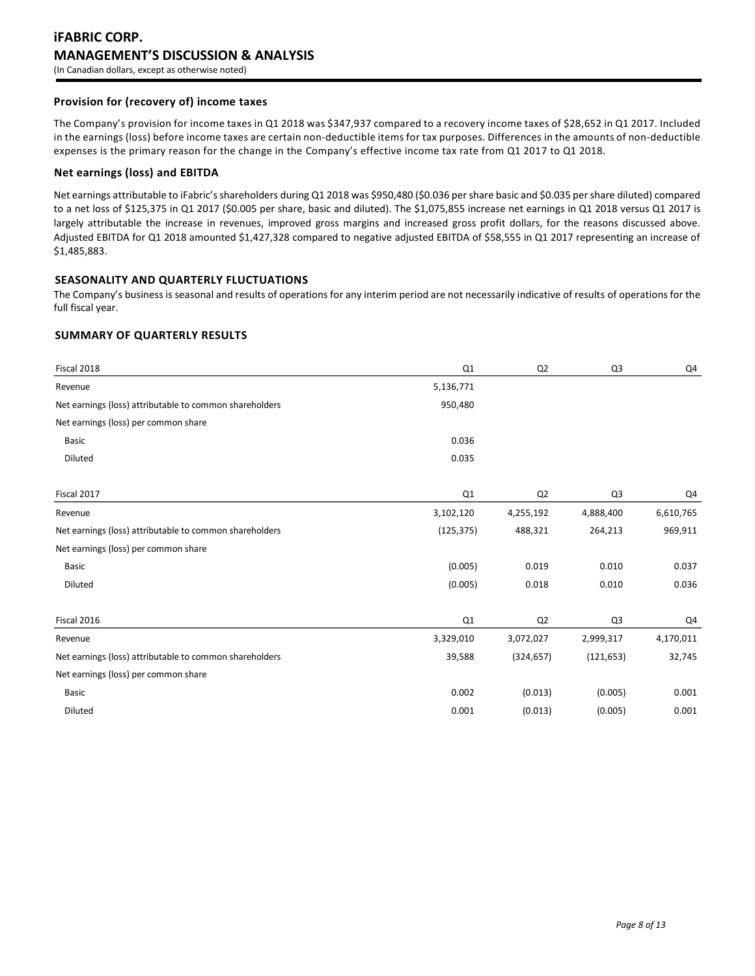# **Provision for (recovery of) income taxes**

The Company's provision for income taxes in Q1 2018 was \$347,937 compared to a recovery income taxes of \$28,652 in Q1 2017. Included in the earnings (loss) before income taxes are certain non-deductible items for tax purposes. Differences in the amounts of non-deductible expenses is the primary reason for the change in the Company's effective income tax rate from Q1 2017 to Q1 2018.

### **Net earnings (loss) and EBITDA**

Net earnings attributable to iFabric'sshareholders during Q1 2018 was \$950,480 (\$0.036 per share basic and \$0.035 per share diluted) compared to a net loss of \$125,375 in Q1 2017 (\$0.005 per share, basic and diluted). The \$1,075,855 increase net earnings in Q1 2018 versus Q1 2017 is largely attributable the increase in revenues, improved gross margins and increased gross profit dollars, for the reasons discussed above. Adjusted EBITDA for Q1 2018 amounted \$1,427,328 compared to negative adjusted EBITDA of \$58,555 in Q1 2017 representing an increase of \$1,485,883.

# **SEASONALITY AND QUARTERLY FLUCTUATIONS**

The Company's business is seasonal and results of operations for any interim period are not necessarily indicative of results of operations for the full fiscal year.

### **SUMMARY OF QUARTERLY RESULTS**

| Fiscal 2018                                             | Q <sub>1</sub> | Q <sub>2</sub> | Q <sub>3</sub> | Q4        |
|---------------------------------------------------------|----------------|----------------|----------------|-----------|
| Revenue                                                 | 5,136,771      |                |                |           |
| Net earnings (loss) attributable to common shareholders | 950,480        |                |                |           |
| Net earnings (loss) per common share                    |                |                |                |           |
| <b>Basic</b>                                            | 0.036          |                |                |           |
| Diluted                                                 | 0.035          |                |                |           |
| Fiscal 2017                                             | Q1             | Q <sub>2</sub> | Q <sub>3</sub> | Q4        |
| Revenue                                                 | 3,102,120      | 4,255,192      | 4,888,400      | 6,610,765 |
| Net earnings (loss) attributable to common shareholders | (125, 375)     | 488,321        | 264,213        | 969,911   |
| Net earnings (loss) per common share                    |                |                |                |           |
| <b>Basic</b>                                            | (0.005)        | 0.019          | 0.010          | 0.037     |
| Diluted                                                 | (0.005)        | 0.018          | 0.010          | 0.036     |
| Fiscal 2016                                             | Q1             | Q <sub>2</sub> | Q <sub>3</sub> | Q4        |
| Revenue                                                 | 3,329,010      | 3,072,027      | 2,999,317      | 4,170,011 |
| Net earnings (loss) attributable to common shareholders | 39,588         | (324, 657)     | (121, 653)     | 32,745    |
| Net earnings (loss) per common share                    |                |                |                |           |
| <b>Basic</b>                                            | 0.002          | (0.013)        | (0.005)        | 0.001     |
| Diluted                                                 | 0.001          | (0.013)        | (0.005)        | 0.001     |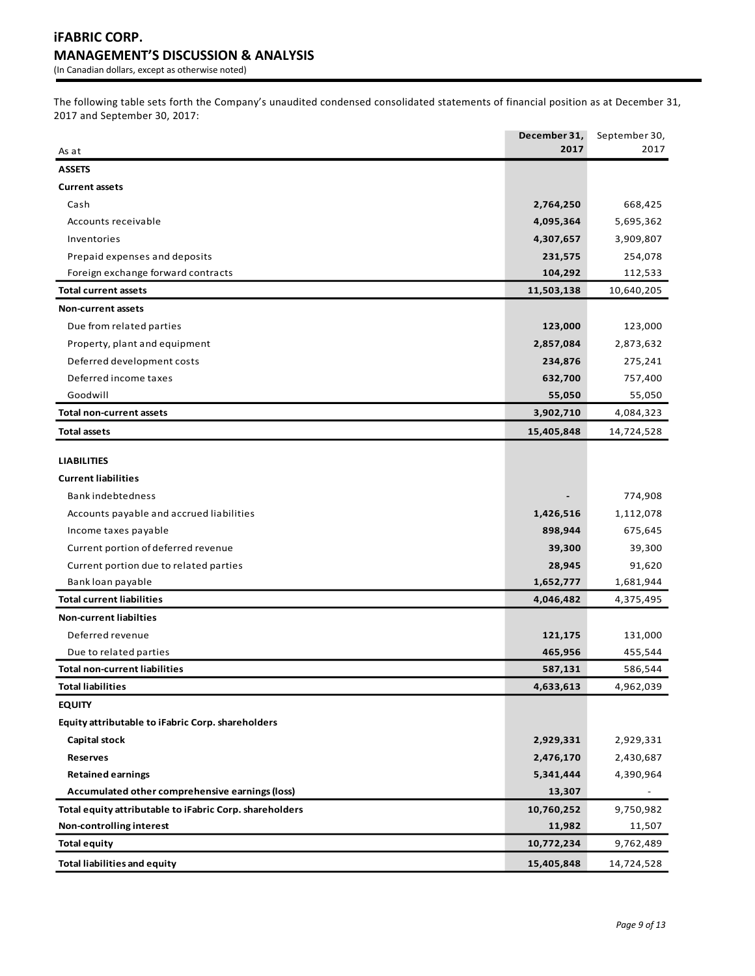The following table sets forth the Company's unaudited condensed consolidated statements of financial position as at December 31, 2017 and September 30, 2017:

|                                                         | December 31, | September 30, |
|---------------------------------------------------------|--------------|---------------|
| As at                                                   | 2017         | 2017          |
| <b>ASSETS</b>                                           |              |               |
| <b>Current assets</b>                                   |              |               |
| Cash                                                    | 2,764,250    | 668,425       |
| Accounts receivable                                     | 4,095,364    | 5,695,362     |
| Inventories                                             | 4,307,657    | 3,909,807     |
| Prepaid expenses and deposits                           | 231,575      | 254,078       |
| Foreign exchange forward contracts                      | 104,292      | 112,533       |
| <b>Total current assets</b>                             | 11,503,138   | 10,640,205    |
| <b>Non-current assets</b>                               |              |               |
| Due from related parties                                | 123,000      | 123,000       |
| Property, plant and equipment                           | 2,857,084    | 2,873,632     |
| Deferred development costs                              | 234,876      | 275,241       |
| Deferred income taxes                                   | 632,700      | 757,400       |
| Goodwill                                                | 55,050       | 55,050        |
| Total non-current assets                                | 3,902,710    | 4,084,323     |
| <b>Total assets</b>                                     | 15,405,848   | 14,724,528    |
|                                                         |              |               |
| <b>LIABILITIES</b>                                      |              |               |
| <b>Current liabilities</b>                              |              |               |
| Bank indebtedness                                       |              | 774,908       |
| Accounts payable and accrued liabilities                | 1,426,516    | 1,112,078     |
| Income taxes payable                                    | 898,944      | 675,645       |
| Current portion of deferred revenue                     | 39,300       | 39,300        |
| Current portion due to related parties                  | 28,945       | 91,620        |
| Bank loan payable                                       | 1,652,777    | 1,681,944     |
| <b>Total current liabilities</b>                        | 4,046,482    | 4,375,495     |
| <b>Non-current liabilties</b>                           |              |               |
| Deferred revenue                                        | 121,175      | 131,000       |
| Due to related parties                                  | 465,956      | 455,544       |
| <b>Total non-current liabilities</b>                    | 587,131      | 586,544       |
| <b>Total liabilities</b>                                | 4,633,613    | 4,962,039     |
| <b>EQUITY</b>                                           |              |               |
| Equity attributable to iFabric Corp. shareholders       |              |               |
| Capital stock                                           | 2,929,331    | 2,929,331     |
| <b>Reserves</b>                                         | 2,476,170    | 2,430,687     |
| <b>Retained earnings</b>                                | 5,341,444    | 4,390,964     |
| Accumulated other comprehensive earnings (loss)         | 13,307       |               |
| Total equity attributable to iFabric Corp. shareholders | 10,760,252   | 9,750,982     |
| Non-controlling interest                                | 11,982       | 11,507        |
| <b>Total equity</b>                                     | 10,772,234   | 9,762,489     |
| <b>Total liabilities and equity</b>                     | 15,405,848   | 14,724,528    |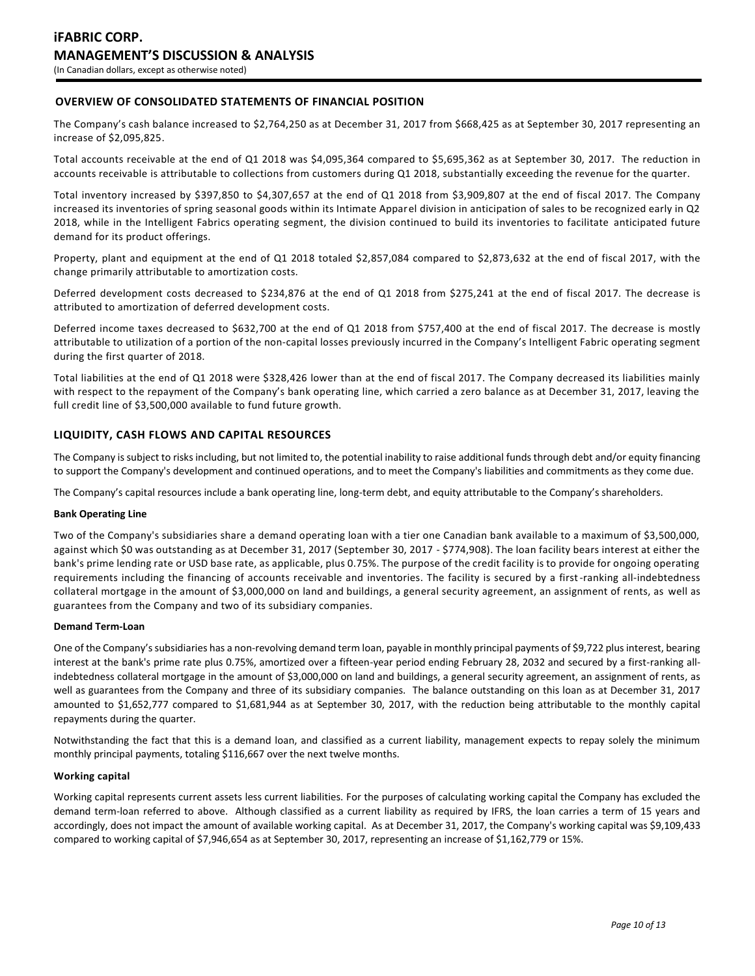# **OVERVIEW OF CONSOLIDATED STATEMENTS OF FINANCIAL POSITION**

The Company's cash balance increased to \$2,764,250 as at December 31, 2017 from \$668,425 as at September 30, 2017 representing an increase of \$2,095,825.

Total accounts receivable at the end of Q1 2018 was \$4,095,364 compared to \$5,695,362 as at September 30, 2017. The reduction in accounts receivable is attributable to collections from customers during Q1 2018, substantially exceeding the revenue for the quarter.

Total inventory increased by \$397,850 to \$4,307,657 at the end of Q1 2018 from \$3,909,807 at the end of fiscal 2017. The Company increased its inventories of spring seasonal goods within its Intimate Apparel division in anticipation of sales to be recognized early in Q2 2018, while in the Intelligent Fabrics operating segment, the division continued to build its inventories to facilitate anticipated future demand for its product offerings.

Property, plant and equipment at the end of Q1 2018 totaled \$2,857,084 compared to \$2,873,632 at the end of fiscal 2017, with the change primarily attributable to amortization costs.

Deferred development costs decreased to \$234,876 at the end of Q1 2018 from \$275,241 at the end of fiscal 2017. The decrease is attributed to amortization of deferred development costs.

Deferred income taxes decreased to \$632,700 at the end of Q1 2018 from \$757,400 at the end of fiscal 2017. The decrease is mostly attributable to utilization of a portion of the non-capital losses previously incurred in the Company's Intelligent Fabric operating segment during the first quarter of 2018.

Total liabilities at the end of Q1 2018 were \$328,426 lower than at the end of fiscal 2017. The Company decreased its liabilities mainly with respect to the repayment of the Company's bank operating line, which carried a zero balance as at December 31, 2017, leaving the full credit line of \$3,500,000 available to fund future growth.

# **LIQUIDITY, CASH FLOWS AND CAPITAL RESOURCES**

The Company is subject to risks including, but not limited to, the potential inability to raise additional funds through debt and/or equity financing to support the Company's development and continued operations, and to meet the Company's liabilities and commitments as they come due.

The Company's capital resources include a bank operating line, long-term debt, and equity attributable to the Company's shareholders.

#### **Bank Operating Line**

Two of the Company's subsidiaries share a demand operating loan with a tier one Canadian bank available to a maximum of \$3,500,000, against which \$0 was outstanding as at December 31, 2017 (September 30, 2017 - \$774,908). The loan facility bears interest at either the bank's prime lending rate or USD base rate, as applicable, plus 0.75%. The purpose of the credit facility is to provide for ongoing operating requirements including the financing of accounts receivable and inventories. The facility is secured by a first-ranking all-indebtedness collateral mortgage in the amount of \$3,000,000 on land and buildings, a general security agreement, an assignment of rents, as well as guarantees from the Company and two of its subsidiary companies.

#### **Demand Term-Loan**

One of the Company's subsidiaries has a non-revolving demand term loan, payable in monthly principal payments of \$9,722 plus interest, bearing interest at the bank's prime rate plus 0.75%, amortized over a fifteen-year period ending February 28, 2032 and secured by a first-ranking allindebtedness collateral mortgage in the amount of \$3,000,000 on land and buildings, a general security agreement, an assignment of rents, as well as guarantees from the Company and three of its subsidiary companies. The balance outstanding on this loan as at December 31, 2017 amounted to \$1,652,777 compared to \$1,681,944 as at September 30, 2017, with the reduction being attributable to the monthly capital repayments during the quarter.

Notwithstanding the fact that this is a demand loan, and classified as a current liability, management expects to repay solely the minimum monthly principal payments, totaling \$116,667 over the next twelve months.

#### **Working capital**

Working capital represents current assets less current liabilities. For the purposes of calculating working capital the Company has excluded the demand term-loan referred to above. Although classified as a current liability as required by IFRS, the loan carries a term of 15 years and accordingly, does not impact the amount of available working capital. As at December 31, 2017, the Company's working capital was \$9,109,433 compared to working capital of \$7,946,654 as at September 30, 2017, representing an increase of \$1,162,779 or 15%.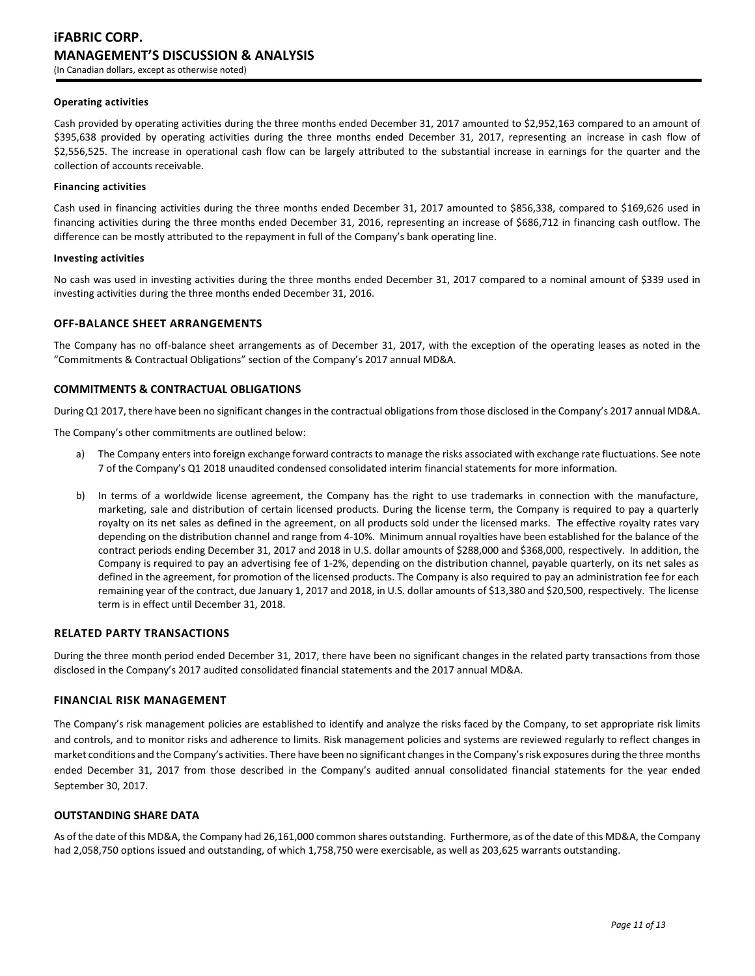#### **Operating activities**

Cash provided by operating activities during the three months ended December 31, 2017 amounted to \$2,952,163 compared to an amount of \$395,638 provided by operating activities during the three months ended December 31, 2017, representing an increase in cash flow of \$2,556,525. The increase in operational cash flow can be largely attributed to the substantial increase in earnings for the quarter and the collection of accounts receivable.

#### **Financing activities**

Cash used in financing activities during the three months ended December 31, 2017 amounted to \$856,338, compared to \$169,626 used in financing activities during the three months ended December 31, 2016, representing an increase of \$686,712 in financing cash outflow. The difference can be mostly attributed to the repayment in full of the Company's bank operating line.

#### **Investing activities**

No cash was used in investing activities during the three months ended December 31, 2017 compared to a nominal amount of \$339 used in investing activities during the three months ended December 31, 2016.

### **OFF-BALANCE SHEET ARRANGEMENTS**

The Company has no off-balance sheet arrangements as of December 31, 2017, with the exception of the operating leases as noted in the "Commitments & Contractual Obligations" section of the Company's 2017 annual MD&A.

#### **COMMITMENTS & CONTRACTUAL OBLIGATIONS**

During Q1 2017, there have been no significant changes in the contractual obligations from those disclosed in the Company's 2017 annual MD&A.

The Company's other commitments are outlined below:

- a) The Company enters into foreign exchange forward contracts to manage the risks associated with exchange rate fluctuations. See note 7 of the Company's Q1 2018 unaudited condensed consolidated interim financial statements for more information.
- b) In terms of a worldwide license agreement, the Company has the right to use trademarks in connection with the manufacture, marketing, sale and distribution of certain licensed products. During the license term, the Company is required to pay a quarterly royalty on its net sales as defined in the agreement, on all products sold under the licensed marks. The effective royalty rates vary depending on the distribution channel and range from 4-10%. Minimum annual royalties have been established for the balance of the contract periods ending December 31, 2017 and 2018 in U.S. dollar amounts of \$288,000 and \$368,000, respectively. In addition, the Company is required to pay an advertising fee of 1-2%, depending on the distribution channel, payable quarterly, on its net sales as defined in the agreement, for promotion of the licensed products. The Company is also required to pay an administration fee for each remaining year of the contract, due January 1, 2017 and 2018, in U.S. dollar amounts of \$13,380 and \$20,500, respectively. The license term is in effect until December 31, 2018.

### **RELATED PARTY TRANSACTIONS**

During the three month period ended December 31, 2017, there have been no significant changes in the related party transactions from those disclosed in the Company's 2017 audited consolidated financial statements and the 2017 annual MD&A.

### **FINANCIAL RISK MANAGEMENT**

The Company's risk management policies are established to identify and analyze the risks faced by the Company, to set appropriate risk limits and controls, and to monitor risks and adherence to limits. Risk management policies and systems are reviewed regularly to reflect changes in market conditions and the Company's activities. There have been no significant changes in the Company's risk exposures during the three months ended December 31, 2017 from those described in the Company's audited annual consolidated financial statements for the year ended September 30, 2017.

# **OUTSTANDING SHARE DATA**

As of the date of this MD&A, the Company had 26,161,000 common shares outstanding. Furthermore, as of the date of this MD&A, the Company had 2,058,750 options issued and outstanding, of which 1,758,750 were exercisable, as well as 203,625 warrants outstanding.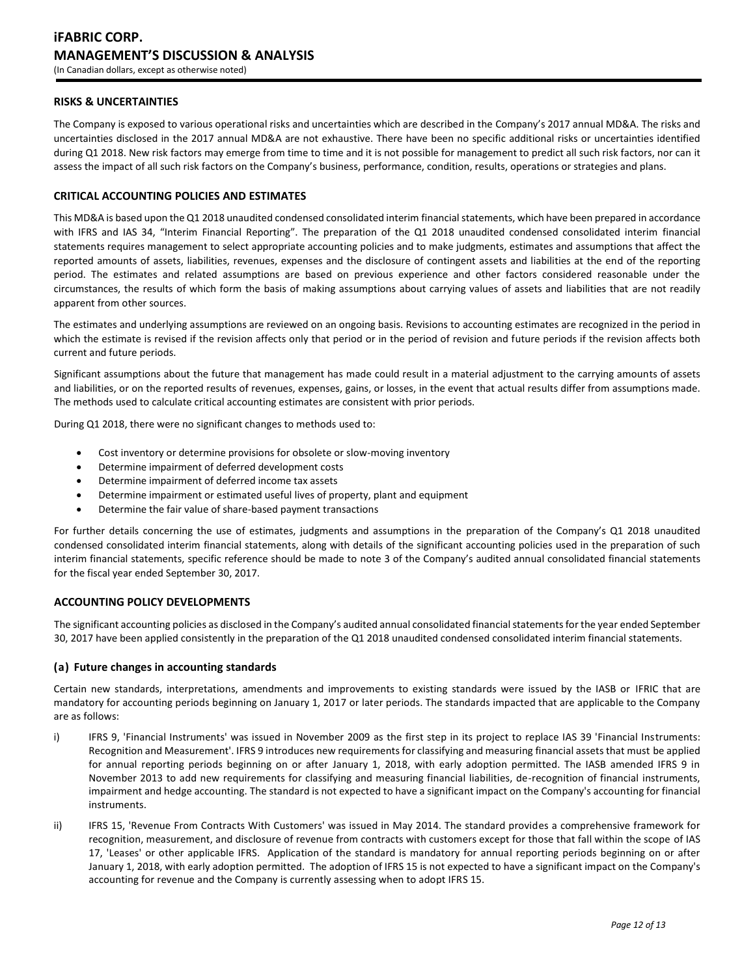### **RISKS & UNCERTAINTIES**

The Company is exposed to various operational risks and uncertainties which are described in the Company's 2017 annual MD&A. The risks and uncertainties disclosed in the 2017 annual MD&A are not exhaustive. There have been no specific additional risks or uncertainties identified during Q1 2018. New risk factors may emerge from time to time and it is not possible for management to predict all such risk factors, nor can it assess the impact of all such risk factors on the Company's business, performance, condition, results, operations or strategies and plans.

# **CRITICAL ACCOUNTING POLICIES AND ESTIMATES**

This MD&A is based upon the Q1 2018 unaudited condensed consolidated interim financial statements, which have been prepared in accordance with IFRS and IAS 34, "Interim Financial Reporting". The preparation of the Q1 2018 unaudited condensed consolidated interim financial statements requires management to select appropriate accounting policies and to make judgments, estimates and assumptions that affect the reported amounts of assets, liabilities, revenues, expenses and the disclosure of contingent assets and liabilities at the end of the reporting period. The estimates and related assumptions are based on previous experience and other factors considered reasonable under the circumstances, the results of which form the basis of making assumptions about carrying values of assets and liabilities that are not readily apparent from other sources.

The estimates and underlying assumptions are reviewed on an ongoing basis. Revisions to accounting estimates are recognized in the period in which the estimate is revised if the revision affects only that period or in the period of revision and future periods if the revision affects both current and future periods.

Significant assumptions about the future that management has made could result in a material adjustment to the carrying amounts of assets and liabilities, or on the reported results of revenues, expenses, gains, or losses, in the event that actual results differ from assumptions made. The methods used to calculate critical accounting estimates are consistent with prior periods.

During Q1 2018, there were no significant changes to methods used to:

- Cost inventory or determine provisions for obsolete or slow-moving inventory
- Determine impairment of deferred development costs
- Determine impairment of deferred income tax assets
- Determine impairment or estimated useful lives of property, plant and equipment
- Determine the fair value of share-based payment transactions

For further details concerning the use of estimates, judgments and assumptions in the preparation of the Company's Q1 2018 unaudited condensed consolidated interim financial statements, along with details of the significant accounting policies used in the preparation of such interim financial statements, specific reference should be made to note 3 of the Company's audited annual consolidated financial statements for the fiscal year ended September 30, 2017.

### **ACCOUNTING POLICY DEVELOPMENTS**

The significant accounting policies as disclosed in the Company's audited annual consolidated financial statements for the year ended September 30, 2017 have been applied consistently in the preparation of the Q1 2018 unaudited condensed consolidated interim financial statements.

### **(a) Future changes in accounting standards**

Certain new standards, interpretations, amendments and improvements to existing standards were issued by the IASB or IFRIC that are mandatory for accounting periods beginning on January 1, 2017 or later periods. The standards impacted that are applicable to the Company are as follows:

- i) IFRS 9, 'Financial Instruments' was issued in November 2009 as the first step in its project to replace IAS 39 'Financial Instruments: Recognition and Measurement'. IFRS 9 introduces new requirements for classifying and measuring financial assets that must be applied for annual reporting periods beginning on or after January 1, 2018, with early adoption permitted. The IASB amended IFRS 9 in November 2013 to add new requirements for classifying and measuring financial liabilities, de-recognition of financial instruments, impairment and hedge accounting. The standard is not expected to have a significant impact on the Company's accounting for financial instruments.
- ii) IFRS 15, 'Revenue From Contracts With Customers' was issued in May 2014. The standard provides a comprehensive framework for recognition, measurement, and disclosure of revenue from contracts with customers except for those that fall within the scope of IAS 17, 'Leases' or other applicable IFRS. Application of the standard is mandatory for annual reporting periods beginning on or after January 1, 2018, with early adoption permitted. The adoption of IFRS 15 is not expected to have a significant impact on the Company's accounting for revenue and the Company is currently assessing when to adopt IFRS 15.